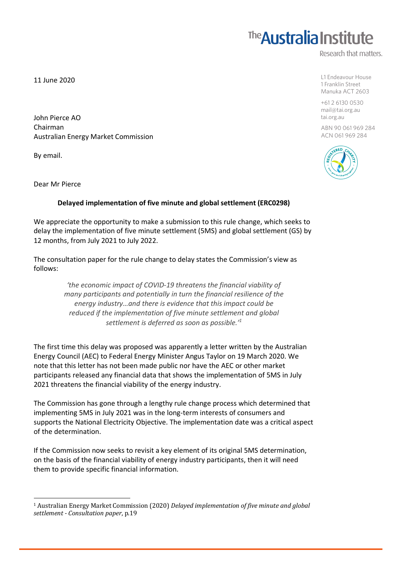11 June 2020

John Pierce AO Chairman Australian Energy Market Commission

 

By email.

Dear Mr Pierce

## **Delayed implementation of five minute and global settlement (ERC0298)**

We appreciate the opportunity to make a submission to this rule change, which seeks to delay the implementation of five minute settlement (5MS) and global settlement (GS) by 12 months, from July 2021 to July 2022.

The consultation paper for the rule change to delay states the Commission's view as follows:

> *'the economic impact of COVID-19 threatens the financial viability of many participants and potentially in turn the financial resilience of the energy industry…and there is evidence that this impact could be reduced if the implementation of five minute settlement and global settlement is deferred as soon as possible.'1*

The first time this delay was proposed was apparently a letter written by the Australian Energy Council (AEC) to Federal Energy Minister Angus Taylor on 19 March 2020. We note that this letter has not been made public nor have the AEC or other market participants released any financial data that shows the implementation of 5MS in July 2021 threatens the financial viability of the energy industry.

The Commission has gone through a lengthy rule change process which determined that implementing 5MS in July 2021 was in the long-term interests of consumers and supports the National Electricity Objective. The implementation date was a critical aspect of the determination.

If the Commission now seeks to revisit a key element of its original 5MS determination, on the basis of the financial viability of energy industry participants, then it will need them to provide specific financial information.



## **The Australia Institute**

Research that matters.

L1 Endeavour House 1 Franklin Street

Manuka ACT 2603 +61 2 6130 0530

mail@tai.org.au tai.org.au

ABN 90 061 969 284 ACN 061 969 284

<sup>&</sup>lt;sup>1</sup> Australian Energy Market Commission (2020) *Delayed implementation of five minute and global settlement - Consultation paper*, p.19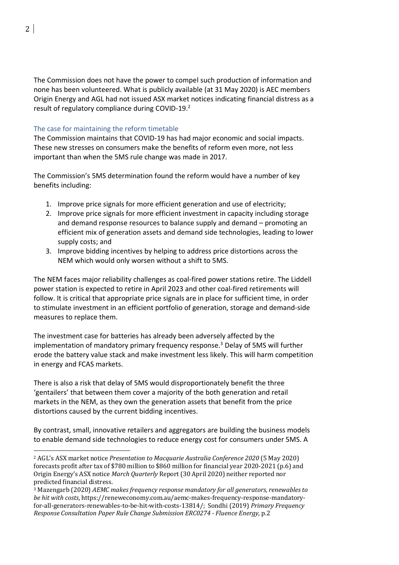The Commission does not have the power to compel such production of information and none has been volunteered. What is publicly available (at 31 May 2020) is AEC members Origin Energy and AGL had not issued ASX market notices indicating financial distress as a result of regulatory compliance during COVID-19.<sup>2</sup>

## The case for maintaining the reform timetable

 

The Commission maintains that COVID-19 has had major economic and social impacts. These new stresses on consumers make the benefits of reform even more, not less important than when the 5MS rule change was made in 2017.

The Commission's 5MS determination found the reform would have a number of key benefits including:

- 1. Improve price signals for more efficient generation and use of electricity;
- 2. Improve price signals for more efficient investment in capacity including storage and demand response resources to balance supply and demand – promoting an efficient mix of generation assets and demand side technologies, leading to lower supply costs; and
- 3. Improve bidding incentives by helping to address price distortions across the NEM which would only worsen without a shift to 5MS.

The NEM faces major reliability challenges as coal-fired power stations retire. The Liddell power station is expected to retire in April 2023 and other coal-fired retirements will follow. It is critical that appropriate price signals are in place for sufficient time, in order to stimulate investment in an efficient portfolio of generation, storage and demand-side measures to replace them.

The investment case for batteries has already been adversely affected by the implementation of mandatory primary frequency response. <sup>3</sup> Delay of 5MS will further erode the battery value stack and make investment less likely. This will harm competition in energy and FCAS markets.

There is also a risk that delay of 5MS would disproportionately benefit the three 'gentailers' that between them cover a majority of the both generation and retail markets in the NEM, as they own the generation assets that benefit from the price distortions caused by the current bidding incentives.

By contrast, small, innovative retailers and aggregators are building the business models to enable demand side technologies to reduce energy cost for consumers under 5MS. A

<sup>&</sup>lt;sup>2</sup> AGL's ASX market notice *Presentation to Macquarie Australia Conference 2020* (5 May 2020) forecasts profit after tax of \$780 million to \$860 million for financial year 2020-2021 (p.6) and Origin Energy's ASX notice *March Quarterly* Report (30 April 2020) neither reported nor predicted financial distress.

<sup>&</sup>lt;sup>3</sup> Mazengarb (2020) *AEMC* makes frequency response mandatory for all generators, renewables to *be hit with costs*, https://reneweconomy.com.au/aemc-makes-frequency-response-mandatoryfor-all-generators-renewables-to-be-hit-with-costs-13814/; Sondhi (2019) *Primary Frequency Response Consultation Paper Rule Change Submission ERC0274 - Fluence Energy*, p.2